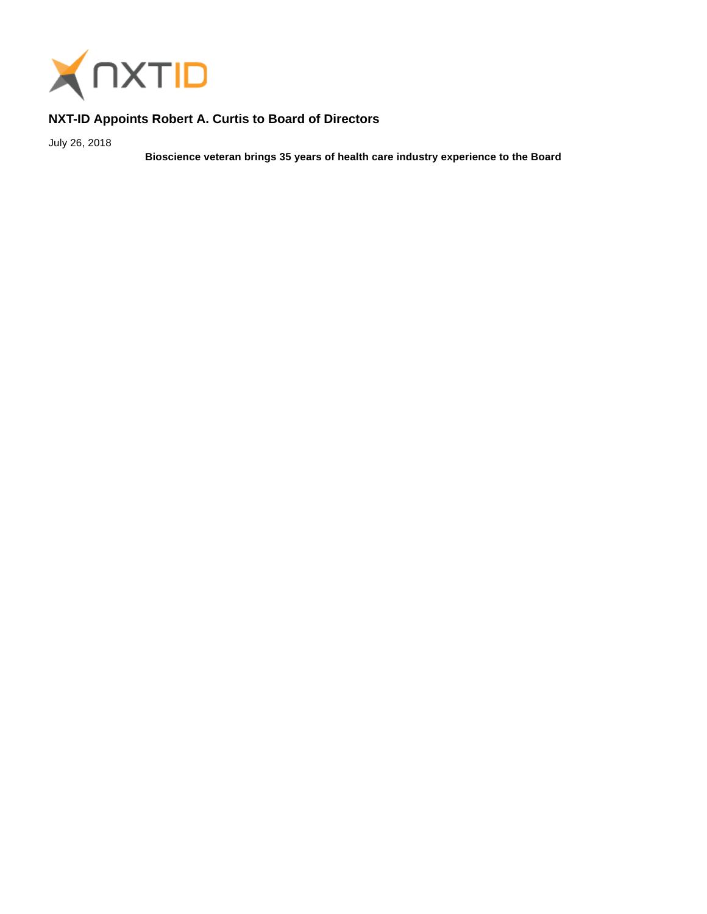

## **NXT-ID Appoints Robert A. Curtis to Board of Directors**

July 26, 2018

**Bioscience veteran brings 35 years of health care industry experience to the Board**